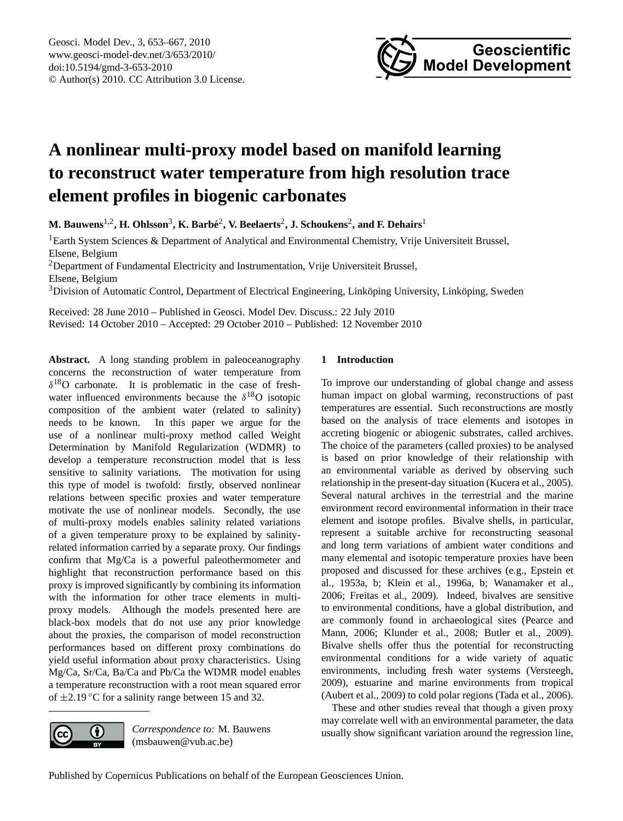

# <span id="page-0-0"></span>**A nonlinear multi-proxy model based on manifold learning to reconstruct water temperature from high resolution trace element profiles in biogenic carbonates**

 ${\bf M.\, Bauwens}^{1,2},{\bf H.\, Ohlsson}^{3},{\bf K.\, Barbé}^{2},{\bf V.\, Beelaerts}^{2},{\bf J.\, Schoukens}^{2},{\bf and\ F.\, Dehairs}^{1,2}$ 

<sup>1</sup>Earth System Sciences & Department of Analytical and Environmental Chemistry, Vrije Universiteit Brussel, Elsene, Belgium

<sup>2</sup>Department of Fundamental Electricity and Instrumentation, Vrije Universiteit Brussel, Elsene, Belgium

<sup>3</sup>Division of Automatic Control, Department of Electrical Engineering, Linköping University, Linköping, Sweden

Received: 28 June 2010 – Published in Geosci. Model Dev. Discuss.: 22 July 2010 Revised: 14 October 2010 – Accepted: 29 October 2010 – Published: 12 November 2010

**Abstract.** A long standing problem in paleoceanography concerns the reconstruction of water temperature from  $\delta^{18}$ O carbonate. It is problematic in the case of freshwater influenced environments because the  $\delta^{18}O$  isotopic composition of the ambient water (related to salinity) needs to be known. In this paper we argue for the use of a nonlinear multi-proxy method called Weight Determination by Manifold Regularization (WDMR) to develop a temperature reconstruction model that is less sensitive to salinity variations. The motivation for using this type of model is twofold: firstly, observed nonlinear relations between specific proxies and water temperature motivate the use of nonlinear models. Secondly, the use of multi-proxy models enables salinity related variations of a given temperature proxy to be explained by salinityrelated information carried by a separate proxy. Our findings confirm that Mg/Ca is a powerful paleothermometer and highlight that reconstruction performance based on this proxy is improved significantly by combining its information with the information for other trace elements in multiproxy models. Although the models presented here are black-box models that do not use any prior knowledge about the proxies, the comparison of model reconstruction performances based on different proxy combinations do yield useful information about proxy characteristics. Using Mg/Ca, Sr/Ca, Ba/Ca and Pb/Ca the WDMR model enables a temperature reconstruction with a root mean squared error of  $\pm 2.19$  °C for a salinity range between 15 and 32.

# **1 Introduction**

To improve our understanding of global change and assess human impact on global warming, reconstructions of past temperatures are essential. Such reconstructions are mostly based on the analysis of trace elements and isotopes in accreting biogenic or abiogenic substrates, called archives. The choice of the parameters (called proxies) to be analysed is based on prior knowledge of their relationship with an environmental variable as derived by observing such relationship in the present-day situation (Kucera et al., 2005). Several natural archives in the terrestrial and the marine environment record environmental information in their trace element and isotope profiles. Bivalve shells, in particular, represent a suitable archive for reconstructing seasonal and long term variations of ambient water conditions and many elemental and isotopic temperature proxies have been proposed and discussed for these archives (e.g., Epstein et al., 1953a, b; Klein et al., 1996a, b; Wanamaker et al., 2006; Freitas et al., 2009). Indeed, bivalves are sensitive to environmental conditions, have a global distribution, and are commonly found in archaeological sites (Pearce and Mann, 2006; Klunder et al., 2008; Butler et al., 2009). Bivalve shells offer thus the potential for reconstructing environmental conditions for a wide variety of aquatic environments, including fresh water systems (Versteegh, 2009), estuarine and marine environments from tropical (Aubert et al., 2009) to cold polar regions (Tada et al., 2006).

These and other studies reveal that though a given proxy may correlate well with an environmental parameter, the data usually show significant variation around the regression line,



*Correspondence to:* M. Bauwens (msbauwen@vub.ac.be)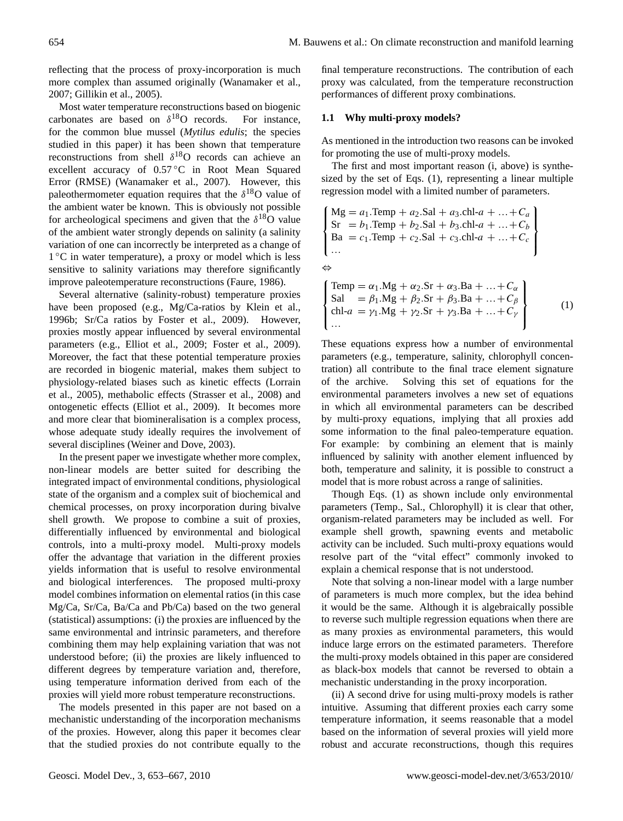reflecting that the process of proxy-incorporation is much more complex than assumed originally (Wanamaker et al., 2007; Gillikin et al., 2005).

Most water temperature reconstructions based on biogenic carbonates are based on  $\delta^{18}$ O records. For instance, for the common blue mussel (*Mytilus edulis*; the species studied in this paper) it has been shown that temperature reconstructions from shell  $\delta^{18}$ O records can achieve an excellent accuracy of 0.57 ◦C in Root Mean Squared Error (RMSE) (Wanamaker et al., 2007). However, this paleothermometer equation requires that the  $\delta^{18}$ O value of the ambient water be known. This is obviously not possible for archeological specimens and given that the  $\delta^{18}$ O value of the ambient water strongly depends on salinity (a salinity variation of one can incorrectly be interpreted as a change of 1 ◦C in water temperature), a proxy or model which is less sensitive to salinity variations may therefore significantly improve paleotemperature reconstructions (Faure, 1986).

Several alternative (salinity-robust) temperature proxies have been proposed (e.g., Mg/Ca-ratios by Klein et al., 1996b; Sr/Ca ratios by Foster et al., 2009). However, proxies mostly appear influenced by several environmental parameters (e.g., Elliot et al., 2009; Foster et al., 2009). Moreover, the fact that these potential temperature proxies are recorded in biogenic material, makes them subject to physiology-related biases such as kinetic effects (Lorrain et al., 2005), methabolic effects (Strasser et al., 2008) and ontogenetic effects (Elliot et al., 2009). It becomes more and more clear that biomineralisation is a complex process, whose adequate study ideally requires the involvement of several disciplines (Weiner and Dove, 2003).

In the present paper we investigate whether more complex, non-linear models are better suited for describing the integrated impact of environmental conditions, physiological state of the organism and a complex suit of biochemical and chemical processes, on proxy incorporation during bivalve shell growth. We propose to combine a suit of proxies, differentially influenced by environmental and biological controls, into a multi-proxy model. Multi-proxy models offer the advantage that variation in the different proxies yields information that is useful to resolve environmental and biological interferences. The proposed multi-proxy model combines information on elemental ratios (in this case Mg/Ca, Sr/Ca, Ba/Ca and Pb/Ca) based on the two general (statistical) assumptions: (i) the proxies are influenced by the same environmental and intrinsic parameters, and therefore combining them may help explaining variation that was not understood before; (ii) the proxies are likely influenced to different degrees by temperature variation and, therefore, using temperature information derived from each of the proxies will yield more robust temperature reconstructions.

The models presented in this paper are not based on a mechanistic understanding of the incorporation mechanisms of the proxies. However, along this paper it becomes clear that the studied proxies do not contribute equally to the

final temperature reconstructions. The contribution of each proxy was calculated, from the temperature reconstruction performances of different proxy combinations.

# **1.1 Why multi-proxy models?**

As mentioned in the introduction two reasons can be invoked for promoting the use of multi-proxy models.

The first and most important reason (i, above) is synthesized by the set of Eqs. [\(1\)](#page-1-0), representing a linear multiple regression model with a limited number of parameters.

$$
\begin{cases}\n\text{Mg} = a_1.\text{Temp} + a_2.\text{Sal} + a_3.\text{chl-}a + ... + C_a \\
\text{Sr} = b_1.\text{Temp} + b_2.\text{Sal} + b_3.\text{chl-}a + ... + C_b \\
\text{Ba} = c_1.\text{Temp} + c_2.\text{Sal} + c_3.\text{chl-}a + ... + C_c \\
\dots\n\end{cases}
$$

<span id="page-1-0"></span>⇔

$$
\begin{cases}\n\text{Temp} = \alpha_1.Mg + \alpha_2.Sr + \alpha_3.Ba + ... + C_{\alpha} \\
\text{Sal} = \beta_1.Mg + \beta_2.Sr + \beta_3.Ba + ... + C_{\beta} \\
\text{chl-}a = \gamma_1.Mg + \gamma_2.Sr + \gamma_3.Ba + ... + C_{\gamma} \\
\dots\n\end{cases}
$$
\n(1)

These equations express how a number of environmental parameters (e.g., temperature, salinity, chlorophyll concentration) all contribute to the final trace element signature of the archive. Solving this set of equations for the environmental parameters involves a new set of equations in which all environmental parameters can be described by multi-proxy equations, implying that all proxies add some information to the final paleo-temperature equation. For example: by combining an element that is mainly influenced by salinity with another element influenced by both, temperature and salinity, it is possible to construct a model that is more robust across a range of salinities.

Though Eqs. [\(1\)](#page-1-0) as shown include only environmental parameters (Temp., Sal., Chlorophyll) it is clear that other, organism-related parameters may be included as well. For example shell growth, spawning events and metabolic activity can be included. Such multi-proxy equations would resolve part of the "vital effect" commonly invoked to explain a chemical response that is not understood.

Note that solving a non-linear model with a large number of parameters is much more complex, but the idea behind it would be the same. Although it is algebraically possible to reverse such multiple regression equations when there are as many proxies as environmental parameters, this would induce large errors on the estimated parameters. Therefore the multi-proxy models obtained in this paper are considered as black-box models that cannot be reversed to obtain a mechanistic understanding in the proxy incorporation.

(ii) A second drive for using multi-proxy models is rather intuitive. Assuming that different proxies each carry some temperature information, it seems reasonable that a model based on the information of several proxies will yield more robust and accurate reconstructions, though this requires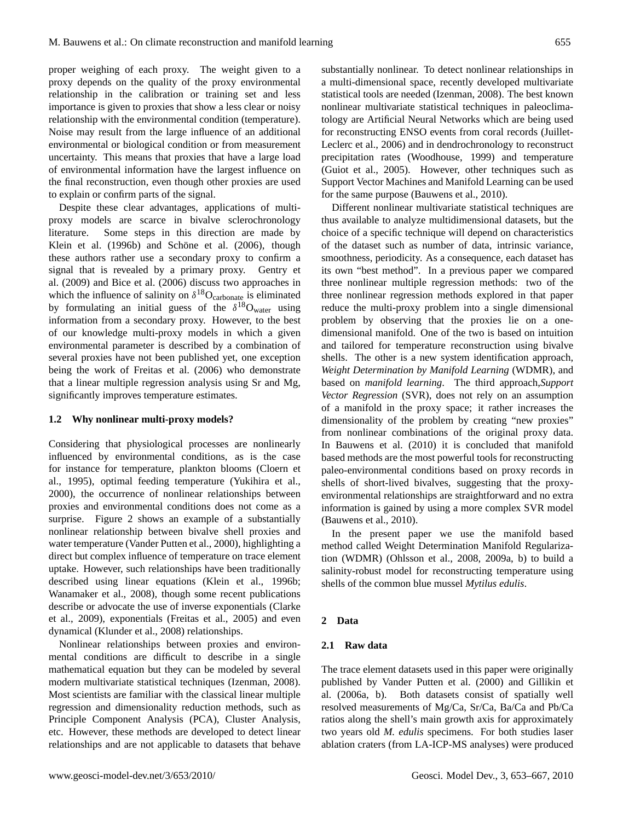proper weighing of each proxy. The weight given to a proxy depends on the quality of the proxy environmental relationship in the calibration or training set and less importance is given to proxies that show a less clear or noisy relationship with the environmental condition (temperature). Noise may result from the large influence of an additional environmental or biological condition or from measurement uncertainty. This means that proxies that have a large load of environmental information have the largest influence on the final reconstruction, even though other proxies are used to explain or confirm parts of the signal.

Despite these clear advantages, applications of multiproxy models are scarce in bivalve sclerochronology literature. Some steps in this direction are made by Klein et al.  $(1996b)$  and Schöne et al.  $(2006)$ , though these authors rather use a secondary proxy to confirm a signal that is revealed by a primary proxy. Gentry et al. (2009) and Bice et al. (2006) discuss two approaches in which the influence of salinity on  $\delta^{18}O_{\text{carbonate}}$  is eliminated by formulating an initial guess of the  $\delta^{18}O_{\text{water}}$  using information from a secondary proxy. However, to the best of our knowledge multi-proxy models in which a given environmental parameter is described by a combination of several proxies have not been published yet, one exception being the work of Freitas et al. (2006) who demonstrate that a linear multiple regression analysis using Sr and Mg, significantly improves temperature estimates.

#### **1.2 Why nonlinear multi-proxy models?**

Considering that physiological processes are nonlinearly influenced by environmental conditions, as is the case for instance for temperature, plankton blooms (Cloern et al., 1995), optimal feeding temperature (Yukihira et al., 2000), the occurrence of nonlinear relationships between proxies and environmental conditions does not come as a surprise. Figure 2 shows an example of a substantially nonlinear relationship between bivalve shell proxies and water temperature (Vander Putten et al., 2000), highlighting a direct but complex influence of temperature on trace element uptake. However, such relationships have been traditionally described using linear equations (Klein et al., 1996b; Wanamaker et al., 2008), though some recent publications describe or advocate the use of inverse exponentials (Clarke et al., 2009), exponentials (Freitas et al., 2005) and even dynamical (Klunder et al., 2008) relationships.

Nonlinear relationships between proxies and environmental conditions are difficult to describe in a single mathematical equation but they can be modeled by several modern multivariate statistical techniques (Izenman, 2008). Most scientists are familiar with the classical linear multiple regression and dimensionality reduction methods, such as Principle Component Analysis (PCA), Cluster Analysis, etc. However, these methods are developed to detect linear relationships and are not applicable to datasets that behave substantially nonlinear. To detect nonlinear relationships in a multi-dimensional space, recently developed multivariate statistical tools are needed (Izenman, 2008). The best known nonlinear multivariate statistical techniques in paleoclimatology are Artificial Neural Networks which are being used for reconstructing ENSO events from coral records (Juillet-Leclerc et al., 2006) and in dendrochronology to reconstruct precipitation rates (Woodhouse, 1999) and temperature (Guiot et al., 2005). However, other techniques such as Support Vector Machines and Manifold Learning can be used for the same purpose (Bauwens et al., 2010).

Different nonlinear multivariate statistical techniques are thus available to analyze multidimensional datasets, but the choice of a specific technique will depend on characteristics of the dataset such as number of data, intrinsic variance, smoothness, periodicity. As a consequence, each dataset has its own "best method". In a previous paper we compared three nonlinear multiple regression methods: two of the three nonlinear regression methods explored in that paper reduce the multi-proxy problem into a single dimensional problem by observing that the proxies lie on a onedimensional manifold. One of the two is based on intuition and tailored for temperature reconstruction using bivalve shells. The other is a new system identification approach, *Weight Determination by Manifold Learning* (WDMR), and based on *manifold learning*. The third approach,*Support Vector Regression* (SVR), does not rely on an assumption of a manifold in the proxy space; it rather increases the dimensionality of the problem by creating "new proxies" from nonlinear combinations of the original proxy data. In Bauwens et al. (2010) it is concluded that manifold based methods are the most powerful tools for reconstructing paleo-environmental conditions based on proxy records in shells of short-lived bivalves, suggesting that the proxyenvironmental relationships are straightforward and no extra information is gained by using a more complex SVR model (Bauwens et al., 2010).

In the present paper we use the manifold based method called Weight Determination Manifold Regularization (WDMR) (Ohlsson et al., 2008, 2009a, b) to build a salinity-robust model for reconstructing temperature using shells of the common blue mussel *Mytilus edulis*.

#### **2 Data**

## **2.1 Raw data**

The trace element datasets used in this paper were originally published by Vander Putten et al. (2000) and Gillikin et al. (2006a, b). Both datasets consist of spatially well resolved measurements of Mg/Ca, Sr/Ca, Ba/Ca and Pb/Ca ratios along the shell's main growth axis for approximately two years old *M. edulis* specimens. For both studies laser ablation craters (from LA-ICP-MS analyses) were produced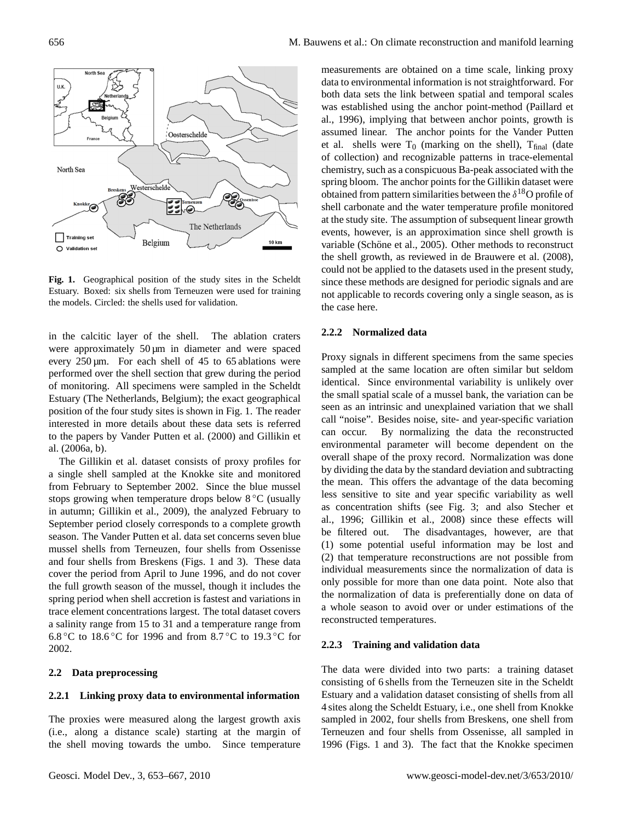

**Fig. 1.** Geographical position of the study sites in the Scheldt Estuary. Boxed: six shells from Terneuzen were used for training the models. Circled: the shells used for validation.

in the calcitic layer of the shell. The ablation craters were approximately 50  $\mu$ m in diameter and were spaced every  $250 \,\mu m$ . For each shell of 45 to 65 ablations were performed over the shell section that grew during the period of monitoring. All specimens were sampled in the Scheldt Estuary (The Netherlands, Belgium); the exact geographical position of the four study sites is shown in Fig. 1. The reader interested in more details about these data sets is referred to the papers by Vander Putten et al. (2000) and Gillikin et al. (2006a, b).

The Gillikin et al. dataset consists of proxy profiles for a single shell sampled at the Knokke site and monitored from February to September 2002. Since the blue mussel stops growing when temperature drops below 8 ◦C (usually in autumn; Gillikin et al., 2009), the analyzed February to September period closely corresponds to a complete growth season. The Vander Putten et al. data set concerns seven blue mussel shells from Terneuzen, four shells from Ossenisse and four shells from Breskens (Figs. 1 and 3). These data cover the period from April to June 1996, and do not cover the full growth season of the mussel, though it includes the spring period when shell accretion is fastest and variations in trace element concentrations largest. The total dataset covers a salinity range from 15 to 31 and a temperature range from 6.8 °C to 18.6 °C for 1996 and from 8.7 °C to 19.3 °C for 2002.

## **2.2 Data preprocessing**

## **2.2.1 Linking proxy data to environmental information**

The proxies were measured along the largest growth axis (i.e., along a distance scale) starting at the margin of the shell moving towards the umbo. Since temperature measurements are obtained on a time scale, linking proxy data to environmental information is not straightforward. For both data sets the link between spatial and temporal scales was established using the anchor point-method (Paillard et al., 1996), implying that between anchor points, growth is assumed linear. The anchor points for the Vander Putten et al. shells were  $T_0$  (marking on the shell),  $T_{final}$  (date of collection) and recognizable patterns in trace-elemental chemistry, such as a conspicuous Ba-peak associated with the spring bloom. The anchor points for the Gillikin dataset were obtained from pattern similarities between the  $\delta^{18}$ O profile of shell carbonate and the water temperature profile monitored at the study site. The assumption of subsequent linear growth events, however, is an approximation since shell growth is variable (Schöne et al., 2005). Other methods to reconstruct the shell growth, as reviewed in de Brauwere et al. (2008), could not be applied to the datasets used in the present study, since these methods are designed for periodic signals and are not applicable to records covering only a single season, as is the case here.

# **2.2.2 Normalized data**

Proxy signals in different specimens from the same species sampled at the same location are often similar but seldom identical. Since environmental variability is unlikely over the small spatial scale of a mussel bank, the variation can be seen as an intrinsic and unexplained variation that we shall call "noise". Besides noise, site- and year-specific variation can occur. By normalizing the data the reconstructed environmental parameter will become dependent on the overall shape of the proxy record. Normalization was done by dividing the data by the standard deviation and subtracting the mean. This offers the advantage of the data becoming less sensitive to site and year specific variability as well as concentration shifts (see Fig. 3; and also Stecher et al., 1996; Gillikin et al., 2008) since these effects will be filtered out. The disadvantages, however, are that (1) some potential useful information may be lost and (2) that temperature reconstructions are not possible from individual measurements since the normalization of data is only possible for more than one data point. Note also that the normalization of data is preferentially done on data of a whole season to avoid over or under estimations of the reconstructed temperatures.

## **2.2.3 Training and validation data**

The data were divided into two parts: a training dataset consisting of 6 shells from the Terneuzen site in the Scheldt Estuary and a validation dataset consisting of shells from all 4 sites along the Scheldt Estuary, i.e., one shell from Knokke sampled in 2002, four shells from Breskens, one shell from Terneuzen and four shells from Ossenisse, all sampled in 1996 (Figs. 1 and 3). The fact that the Knokke specimen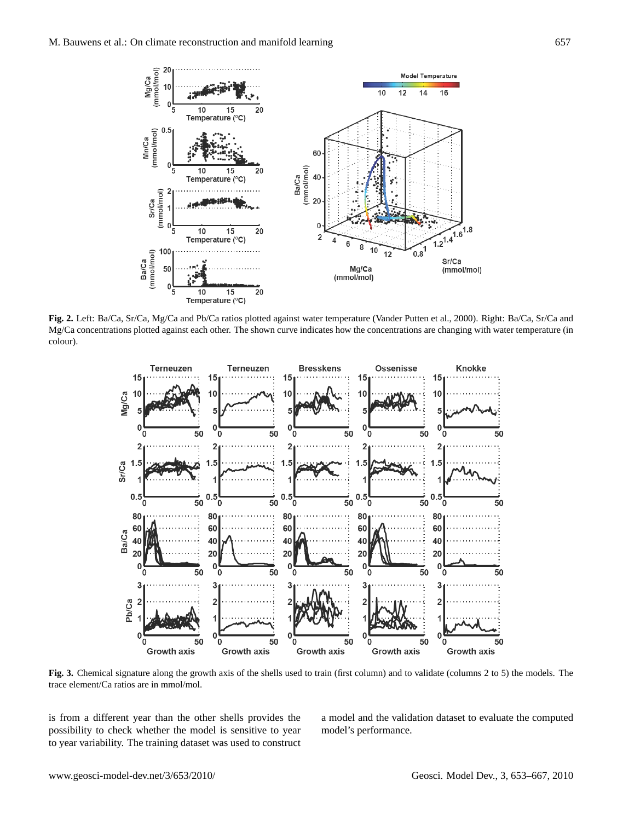

**Fig. 2.** Left: Ba/Ca, Sr/Ca, Mg/Ca and Pb/Ca ratios plotted against water temperature (Vander Putten et al., 2000). Right: Ba/Ca, Sr/Ca and Mg/Ca concentrations plotted against each other. The shown curve indicates how the concentrations are changing with water temperature (in colour).



**Fig. 3.** Chemical signature along the growth axis of the shells used to train (first column) and to validate (columns 2 to 5) the models. The trace element/Ca ratios are in mmol/mol.

is from a different year than the other shells provides the possibility to check whether the model is sensitive to year to year variability. The training dataset was used to construct a model and the validation dataset to evaluate the computed model's performance.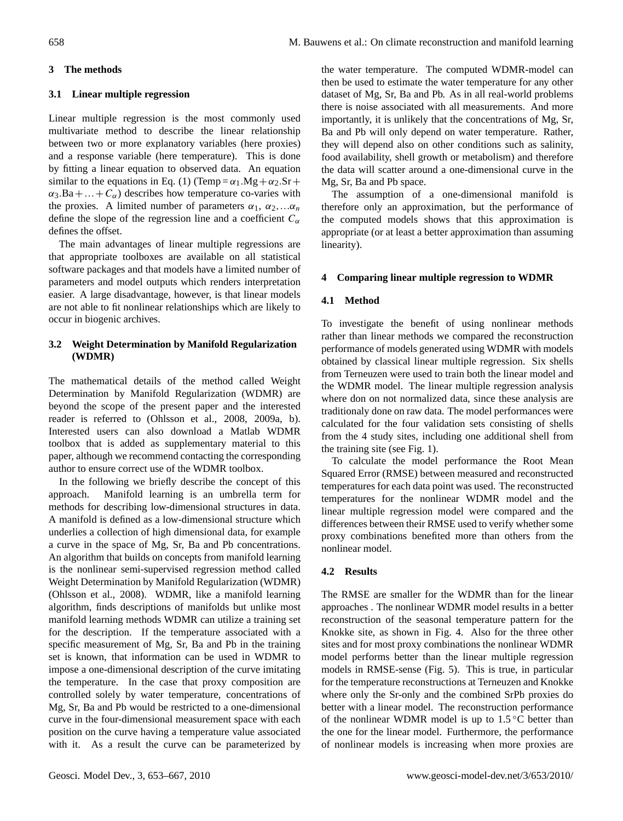# **3 The methods**

## **3.1 Linear multiple regression**

Linear multiple regression is the most commonly used multivariate method to describe the linear relationship between two or more explanatory variables (here proxies) and a response variable (here temperature). This is done by fitting a linear equation to observed data. An equation similar to the equations in Eq. (1) (Temp =  $\alpha_1.Mg + \alpha_2.Sr +$  $\alpha_3.Ba+\ldots+C_\alpha$ ) describes how temperature co-varies with the proxies. A limited number of parameters  $\alpha_1, \alpha_2, \ldots, \alpha_n$ define the slope of the regression line and a coefficient  $C_{\alpha}$ defines the offset.

The main advantages of linear multiple regressions are that appropriate toolboxes are available on all statistical software packages and that models have a limited number of parameters and model outputs which renders interpretation easier. A large disadvantage, however, is that linear models are not able to fit nonlinear relationships which are likely to occur in biogenic archives.

# **3.2 Weight Determination by Manifold Regularization (WDMR)**

The mathematical details of the method called Weight Determination by Manifold Regularization (WDMR) are beyond the scope of the present paper and the interested reader is referred to (Ohlsson et al., 2008, 2009a, b). Interested users can also download a Matlab WDMR toolbox that is added as supplementary material to this paper, although we recommend contacting the corresponding author to ensure correct use of the WDMR toolbox.

In the following we briefly describe the concept of this approach. Manifold learning is an umbrella term for methods for describing low-dimensional structures in data. A manifold is defined as a low-dimensional structure which underlies a collection of high dimensional data, for example a curve in the space of Mg, Sr, Ba and Pb concentrations. An algorithm that builds on concepts from manifold learning is the nonlinear semi-supervised regression method called Weight Determination by Manifold Regularization (WDMR) (Ohlsson et al., 2008). WDMR, like a manifold learning algorithm, finds descriptions of manifolds but unlike most manifold learning methods WDMR can utilize a training set for the description. If the temperature associated with a specific measurement of Mg, Sr, Ba and Pb in the training set is known, that information can be used in WDMR to impose a one-dimensional description of the curve imitating the temperature. In the case that proxy composition are controlled solely by water temperature, concentrations of Mg, Sr, Ba and Pb would be restricted to a one-dimensional curve in the four-dimensional measurement space with each position on the curve having a temperature value associated with it. As a result the curve can be parameterized by the water temperature. The computed WDMR-model can then be used to estimate the water temperature for any other dataset of Mg, Sr, Ba and Pb. As in all real-world problems there is noise associated with all measurements. And more importantly, it is unlikely that the concentrations of Mg, Sr, Ba and Pb will only depend on water temperature. Rather, they will depend also on other conditions such as salinity, food availability, shell growth or metabolism) and therefore the data will scatter around a one-dimensional curve in the Mg, Sr, Ba and Pb space.

The assumption of a one-dimensional manifold is therefore only an approximation, but the performance of the computed models shows that this approximation is appropriate (or at least a better approximation than assuming linearity).

## **4 Comparing linear multiple regression to WDMR**

## **4.1 Method**

To investigate the benefit of using nonlinear methods rather than linear methods we compared the reconstruction performance of models generated using WDMR with models obtained by classical linear multiple regression. Six shells from Terneuzen were used to train both the linear model and the WDMR model. The linear multiple regression analysis where don on not normalized data, since these analysis are traditionaly done on raw data. The model performances were calculated for the four validation sets consisting of shells from the 4 study sites, including one additional shell from the training site (see Fig. 1).

To calculate the model performance the Root Mean Squared Error (RMSE) between measured and reconstructed temperatures for each data point was used. The reconstructed temperatures for the nonlinear WDMR model and the linear multiple regression model were compared and the differences between their RMSE used to verify whether some proxy combinations benefited more than others from the nonlinear model.

#### **4.2 Results**

The RMSE are smaller for the WDMR than for the linear approaches . The nonlinear WDMR model results in a better reconstruction of the seasonal temperature pattern for the Knokke site, as shown in Fig. 4. Also for the three other sites and for most proxy combinations the nonlinear WDMR model performs better than the linear multiple regression models in RMSE-sense (Fig. 5). This is true, in particular for the temperature reconstructions at Terneuzen and Knokke where only the Sr-only and the combined SrPb proxies do better with a linear model. The reconstruction performance of the nonlinear WDMR model is up to  $1.5\,^{\circ}\text{C}$  better than the one for the linear model. Furthermore, the performance of nonlinear models is increasing when more proxies are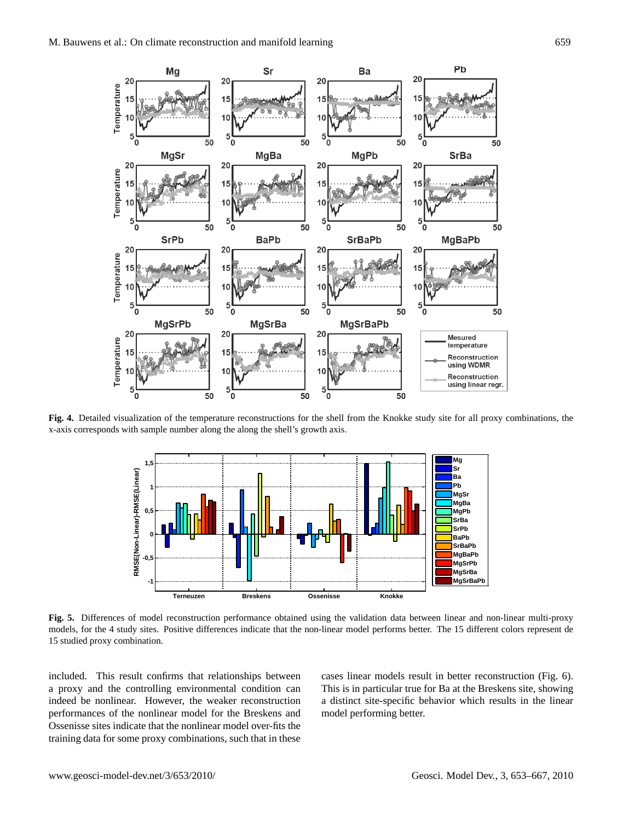

**Fig. 4.** Detailed visualization of the temperature reconstructions for the shell from the Knokke study site for all proxy combinations, the x-axis corresponds with sample number along the along the shell's growth axis.



**Fig. 5.** Differences of model reconstruction performance obtained using the validation data between linear and non-linear multi-proxy models, for the 4 study sites. Positive differences indicate that the non-linear model performs better. The 15 different colors represent de 15 studied proxy combination.

included. This result confirms that relationships between a proxy and the controlling environmental condition can indeed be nonlinear. However, the weaker reconstruction performances of the nonlinear model for the Breskens and Ossenisse sites indicate that the nonlinear model over-fits the training data for some proxy combinations, such that in these cases linear models result in better reconstruction (Fig. 6). This is in particular true for Ba at the Breskens site, showing a distinct site-specific behavior which results in the linear model performing better.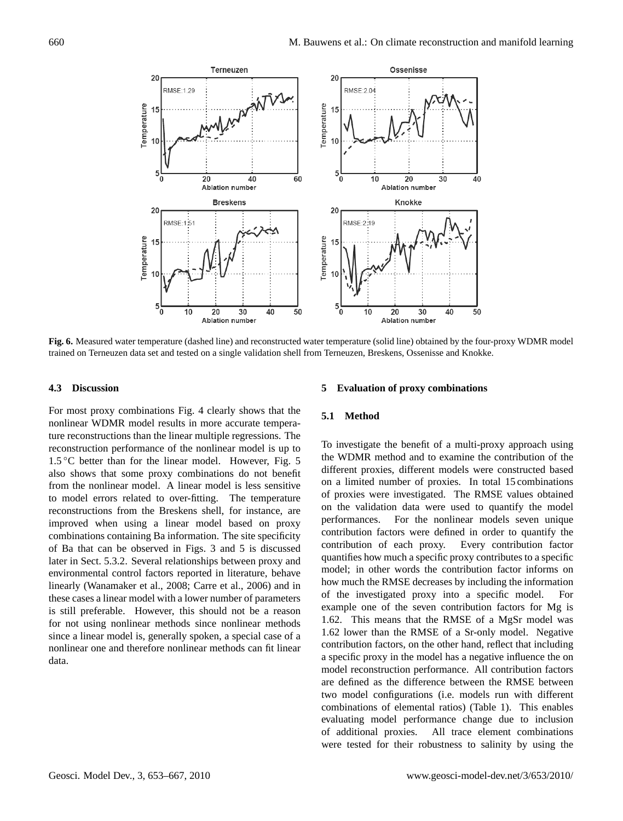

**Fig. 6.** Measured water temperature (dashed line) and reconstructed water temperature (solid line) obtained by the four-proxy WDMR model trained on Terneuzen data set and tested on a single validation shell from Terneuzen, Breskens, Ossenisse and Knokke.

## **4.3 Discussion**

For most proxy combinations Fig. 4 clearly shows that the nonlinear WDMR model results in more accurate temperature reconstructions than the linear multiple regressions. The reconstruction performance of the nonlinear model is up to  $1.5\,^{\circ}$ C better than for the linear model. However, Fig. 5 also shows that some proxy combinations do not benefit from the nonlinear model. A linear model is less sensitive to model errors related to over-fitting. The temperature reconstructions from the Breskens shell, for instance, are improved when using a linear model based on proxy combinations containing Ba information. The site specificity of Ba that can be observed in Figs. 3 and 5 is discussed later in Sect. 5.3.2. Several relationships between proxy and environmental control factors reported in literature, behave linearly (Wanamaker et al., 2008; Carre et al., 2006) and in these cases a linear model with a lower number of parameters is still preferable. However, this should not be a reason for not using nonlinear methods since nonlinear methods since a linear model is, generally spoken, a special case of a nonlinear one and therefore nonlinear methods can fit linear data.

## **5 Evaluation of proxy combinations**

## **5.1 Method**

To investigate the benefit of a multi-proxy approach using the WDMR method and to examine the contribution of the different proxies, different models were constructed based on a limited number of proxies. In total 15 combinations of proxies were investigated. The RMSE values obtained on the validation data were used to quantify the model performances. For the nonlinear models seven unique contribution factors were defined in order to quantify the contribution of each proxy. Every contribution factor quantifies how much a specific proxy contributes to a specific model; in other words the contribution factor informs on how much the RMSE decreases by including the information of the investigated proxy into a specific model. For example one of the seven contribution factors for Mg is 1.62. This means that the RMSE of a MgSr model was 1.62 lower than the RMSE of a Sr-only model. Negative contribution factors, on the other hand, reflect that including a specific proxy in the model has a negative influence the on model reconstruction performance. All contribution factors are defined as the difference between the RMSE between two model configurations (i.e. models run with different combinations of elemental ratios) (Table 1). This enables evaluating model performance change due to inclusion of additional proxies. All trace element combinations were tested for their robustness to salinity by using the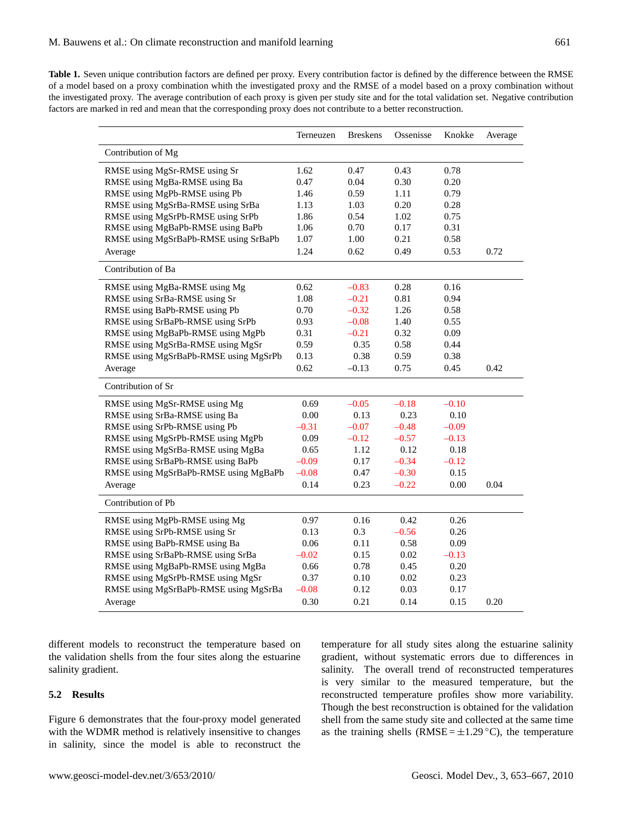**Table 1.** Seven unique contribution factors are defined per proxy. Every contribution factor is defined by the difference between the RMSE of a model based on a proxy combination whith the investigated proxy and the RMSE of a model based on a proxy combination without the investigated proxy. The average contribution of each proxy is given per study site and for the total validation set. Negative contribution factors are marked in red and mean that the corresponding proxy does not contribute to a better reconstruction.

|                                       | Terneuzen | <b>Breskens</b> | Ossenisse | Knokke  | Average |
|---------------------------------------|-----------|-----------------|-----------|---------|---------|
| Contribution of Mg                    |           |                 |           |         |         |
| RMSE using MgSr-RMSE using Sr         | 1.62      | 0.47            | 0.43      | 0.78    |         |
| RMSE using MgBa-RMSE using Ba         | 0.47      | 0.04            | 0.30      | 0.20    |         |
| RMSE using MgPb-RMSE using Pb         | 1.46      | 0.59            | 1.11      | 0.79    |         |
| RMSE using MgSrBa-RMSE using SrBa     | 1.13      | 1.03            | 0.20      | 0.28    |         |
| RMSE using MgSrPb-RMSE using SrPb     | 1.86      | 0.54            | 1.02      | 0.75    |         |
| RMSE using MgBaPb-RMSE using BaPb     | 1.06      | 0.70            | 0.17      | 0.31    |         |
| RMSE using MgSrBaPb-RMSE using SrBaPb | 1.07      | 1.00            | 0.21      | 0.58    |         |
| Average                               | 1.24      | 0.62            | 0.49      | 0.53    | 0.72    |
| Contribution of Ba                    |           |                 |           |         |         |
| RMSE using MgBa-RMSE using Mg         | 0.62      | $-0.83$         | 0.28      | 0.16    |         |
| RMSE using SrBa-RMSE using Sr         | 1.08      | $-0.21$         | 0.81      | 0.94    |         |
| RMSE using BaPb-RMSE using Pb         | 0.70      | $-0.32$         | 1.26      | 0.58    |         |
| RMSE using SrBaPb-RMSE using SrPb     | 0.93      | $-0.08$         | 1.40      | 0.55    |         |
| RMSE using MgBaPb-RMSE using MgPb     | 0.31      | $-0.21$         | 0.32      | 0.09    |         |
| RMSE using MgSrBa-RMSE using MgSr     | 0.59      | 0.35            | 0.58      | 0.44    |         |
| RMSE using MgSrBaPb-RMSE using MgSrPb | 0.13      | 0.38            | 0.59      | 0.38    |         |
| Average                               | 0.62      | $-0.13$         | 0.75      | 0.45    | 0.42    |
| Contribution of Sr                    |           |                 |           |         |         |
| RMSE using MgSr-RMSE using Mg         | 0.69      | $-0.05$         | $-0.18$   | $-0.10$ |         |
| RMSE using SrBa-RMSE using Ba         | 0.00      | 0.13            | 0.23      | 0.10    |         |
| RMSE using SrPb-RMSE using Pb         | $-0.31$   | $-0.07$         | $-0.48$   | $-0.09$ |         |
| RMSE using MgSrPb-RMSE using MgPb     | 0.09      | $-0.12$         | $-0.57$   | $-0.13$ |         |
| RMSE using MgSrBa-RMSE using MgBa     | 0.65      | 1.12            | 0.12      | 0.18    |         |
| RMSE using SrBaPb-RMSE using BaPb     | $-0.09$   | 0.17            | $-0.34$   | $-0.12$ |         |
| RMSE using MgSrBaPb-RMSE using MgBaPb | $-0.08$   | 0.47            | $-0.30$   | 0.15    |         |
| Average                               | 0.14      | 0.23            | $-0.22$   | 0.00    | 0.04    |
| Contribution of Pb                    |           |                 |           |         |         |
| RMSE using MgPb-RMSE using Mg         | 0.97      | 0.16            | 0.42      | 0.26    |         |
| RMSE using SrPb-RMSE using Sr         | 0.13      | 0.3             | $-0.56$   | 0.26    |         |
| RMSE using BaPb-RMSE using Ba         | 0.06      | 0.11            | 0.58      | 0.09    |         |
| RMSE using SrBaPb-RMSE using SrBa     | $-0.02$   | 0.15            | 0.02      | $-0.13$ |         |
| RMSE using MgBaPb-RMSE using MgBa     | 0.66      | 0.78            | 0.45      | 0.20    |         |
| RMSE using MgSrPb-RMSE using MgSr     | 0.37      | 0.10            | 0.02      | 0.23    |         |
| RMSE using MgSrBaPb-RMSE using MgSrBa | $-0.08$   | 0.12            | 0.03      | 0.17    |         |
| Average                               | 0.30      | 0.21            | 0.14      | 0.15    | 0.20    |

different models to reconstruct the temperature based on the validation shells from the four sites along the estuarine salinity gradient.

# **5.2 Results**

Figure 6 demonstrates that the four-proxy model generated with the WDMR method is relatively insensitive to changes in salinity, since the model is able to reconstruct the

temperature for all study sites along the estuarine salinity gradient, without systematic errors due to differences in salinity. The overall trend of reconstructed temperatures is very similar to the measured temperature, but the reconstructed temperature profiles show more variability. Though the best reconstruction is obtained for the validation shell from the same study site and collected at the same time as the training shells (RMSE =  $\pm$ 1.29 °C), the temperature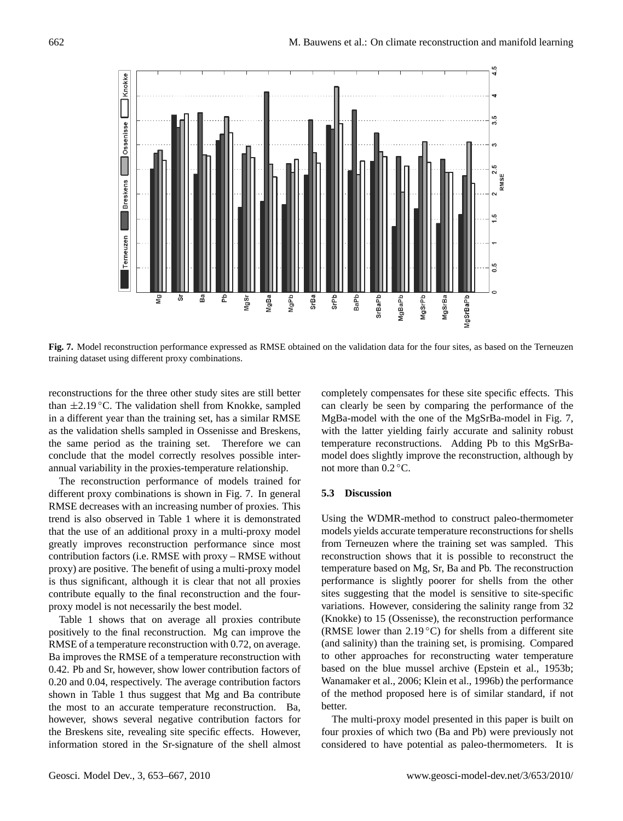

**Fig. 7.** Model reconstruction performance expressed as RMSE obtained on the validation data for the four sites, as based on the Terneuzen training dataset using different proxy combinations.

reconstructions for the three other study sites are still better than  $\pm 2.19$  °C. The validation shell from Knokke, sampled in a different year than the training set, has a similar RMSE as the validation shells sampled in Ossenisse and Breskens, the same period as the training set. Therefore we can conclude that the model correctly resolves possible interannual variability in the proxies-temperature relationship.

The reconstruction performance of models trained for different proxy combinations is shown in Fig. 7. In general RMSE decreases with an increasing number of proxies. This trend is also observed in Table 1 where it is demonstrated that the use of an additional proxy in a multi-proxy model greatly improves reconstruction performance since most contribution factors (i.e. RMSE with proxy – RMSE without proxy) are positive. The benefit of using a multi-proxy model is thus significant, although it is clear that not all proxies contribute equally to the final reconstruction and the fourproxy model is not necessarily the best model.

Table 1 shows that on average all proxies contribute positively to the final reconstruction. Mg can improve the RMSE of a temperature reconstruction with 0.72, on average. Ba improves the RMSE of a temperature reconstruction with 0.42. Pb and Sr, however, show lower contribution factors of 0.20 and 0.04, respectively. The average contribution factors shown in Table 1 thus suggest that Mg and Ba contribute the most to an accurate temperature reconstruction. Ba, however, shows several negative contribution factors for the Breskens site, revealing site specific effects. However, information stored in the Sr-signature of the shell almost

completely compensates for these site specific effects. This can clearly be seen by comparing the performance of the MgBa-model with the one of the MgSrBa-model in Fig. 7, with the latter yielding fairly accurate and salinity robust temperature reconstructions. Adding Pb to this MgSrBamodel does slightly improve the reconstruction, although by not more than  $0.2 \degree C$ .

# **5.3 Discussion**

Using the WDMR-method to construct paleo-thermometer models yields accurate temperature reconstructions for shells from Terneuzen where the training set was sampled. This reconstruction shows that it is possible to reconstruct the temperature based on Mg, Sr, Ba and Pb. The reconstruction performance is slightly poorer for shells from the other sites suggesting that the model is sensitive to site-specific variations. However, considering the salinity range from 32 (Knokke) to 15 (Ossenisse), the reconstruction performance (RMSE lower than  $2.19\textdegree C$ ) for shells from a different site (and salinity) than the training set, is promising. Compared to other approaches for reconstructing water temperature based on the blue mussel archive (Epstein et al., 1953b; Wanamaker et al., 2006; Klein et al., 1996b) the performance of the method proposed here is of similar standard, if not better.

The multi-proxy model presented in this paper is built on four proxies of which two (Ba and Pb) were previously not considered to have potential as paleo-thermometers. It is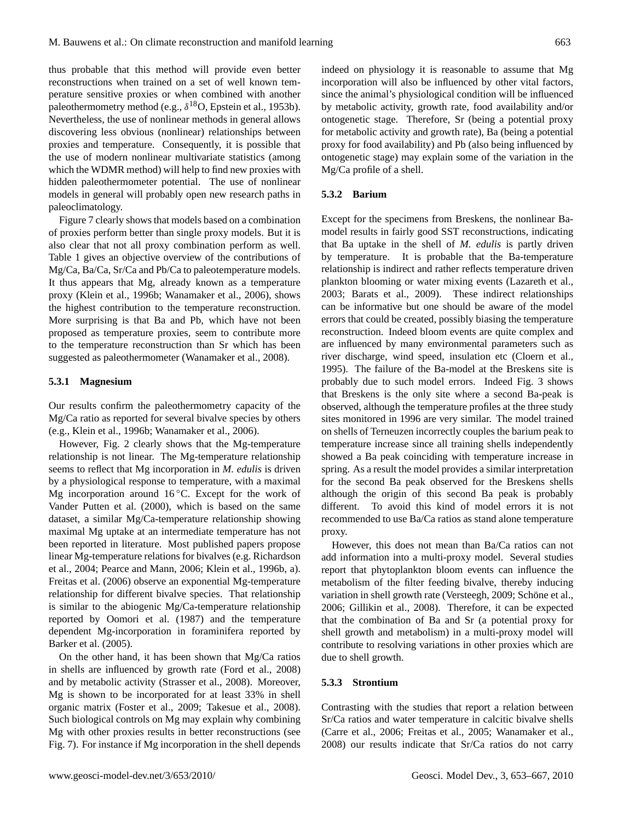thus probable that this method will provide even better reconstructions when trained on a set of well known temperature sensitive proxies or when combined with another paleothermometry method (e.g.,  $\delta^{18}$ O, Epstein et al., 1953b). Nevertheless, the use of nonlinear methods in general allows discovering less obvious (nonlinear) relationships between proxies and temperature. Consequently, it is possible that the use of modern nonlinear multivariate statistics (among which the WDMR method) will help to find new proxies with hidden paleothermometer potential. The use of nonlinear models in general will probably open new research paths in paleoclimatology.

Figure 7 clearly shows that models based on a combination of proxies perform better than single proxy models. But it is also clear that not all proxy combination perform as well. Table 1 gives an objective overview of the contributions of Mg/Ca, Ba/Ca, Sr/Ca and Pb/Ca to paleotemperature models. It thus appears that Mg, already known as a temperature proxy (Klein et al., 1996b; Wanamaker et al., 2006), shows the highest contribution to the temperature reconstruction. More surprising is that Ba and Pb, which have not been proposed as temperature proxies, seem to contribute more to the temperature reconstruction than Sr which has been suggested as paleothermometer (Wanamaker et al., 2008).

#### **5.3.1 Magnesium**

Our results confirm the paleothermometry capacity of the Mg/Ca ratio as reported for several bivalve species by others (e.g., Klein et al., 1996b; Wanamaker et al., 2006).

However, Fig. 2 clearly shows that the Mg-temperature relationship is not linear. The Mg-temperature relationship seems to reflect that Mg incorporation in *M. edulis* is driven by a physiological response to temperature, with a maximal Mg incorporation around 16 ℃. Except for the work of Vander Putten et al. (2000), which is based on the same dataset, a similar Mg/Ca-temperature relationship showing maximal Mg uptake at an intermediate temperature has not been reported in literature. Most published papers propose linear Mg-temperature relations for bivalves (e.g. Richardson et al., 2004; Pearce and Mann, 2006; Klein et al., 1996b, a). Freitas et al. (2006) observe an exponential Mg-temperature relationship for different bivalve species. That relationship is similar to the abiogenic Mg/Ca-temperature relationship reported by Oomori et al. (1987) and the temperature dependent Mg-incorporation in foraminifera reported by Barker et al. (2005).

On the other hand, it has been shown that Mg/Ca ratios in shells are influenced by growth rate (Ford et al., 2008) and by metabolic activity (Strasser et al., 2008). Moreover, Mg is shown to be incorporated for at least 33% in shell organic matrix (Foster et al., 2009; Takesue et al., 2008). Such biological controls on Mg may explain why combining Mg with other proxies results in better reconstructions (see Fig. 7). For instance if Mg incorporation in the shell depends indeed on physiology it is reasonable to assume that Mg incorporation will also be influenced by other vital factors, since the animal's physiological condition will be influenced by metabolic activity, growth rate, food availability and/or ontogenetic stage. Therefore, Sr (being a potential proxy for metabolic activity and growth rate), Ba (being a potential proxy for food availability) and Pb (also being influenced by ontogenetic stage) may explain some of the variation in the Mg/Ca profile of a shell.

## **5.3.2 Barium**

Except for the specimens from Breskens, the nonlinear Bamodel results in fairly good SST reconstructions, indicating that Ba uptake in the shell of *M. edulis* is partly driven by temperature. It is probable that the Ba-temperature relationship is indirect and rather reflects temperature driven plankton blooming or water mixing events (Lazareth et al., 2003; Barats et al., 2009). These indirect relationships can be informative but one should be aware of the model errors that could be created, possibly biasing the temperature reconstruction. Indeed bloom events are quite complex and are influenced by many environmental parameters such as river discharge, wind speed, insulation etc (Cloern et al., 1995). The failure of the Ba-model at the Breskens site is probably due to such model errors. Indeed Fig. 3 shows that Breskens is the only site where a second Ba-peak is observed, although the temperature profiles at the three study sites monitored in 1996 are very similar. The model trained on shells of Terneuzen incorrectly couples the barium peak to temperature increase since all training shells independently showed a Ba peak coinciding with temperature increase in spring. As a result the model provides a similar interpretation for the second Ba peak observed for the Breskens shells although the origin of this second Ba peak is probably different. To avoid this kind of model errors it is not recommended to use Ba/Ca ratios as stand alone temperature proxy.

However, this does not mean than Ba/Ca ratios can not add information into a multi-proxy model. Several studies report that phytoplankton bloom events can influence the metabolism of the filter feeding bivalve, thereby inducing variation in shell growth rate (Versteegh, 2009; Schöne et al., 2006; Gillikin et al., 2008). Therefore, it can be expected that the combination of Ba and Sr (a potential proxy for shell growth and metabolism) in a multi-proxy model will contribute to resolving variations in other proxies which are due to shell growth.

# **5.3.3 Strontium**

Contrasting with the studies that report a relation between Sr/Ca ratios and water temperature in calcitic bivalve shells (Carre et al., 2006; Freitas et al., 2005; Wanamaker et al., 2008) our results indicate that Sr/Ca ratios do not carry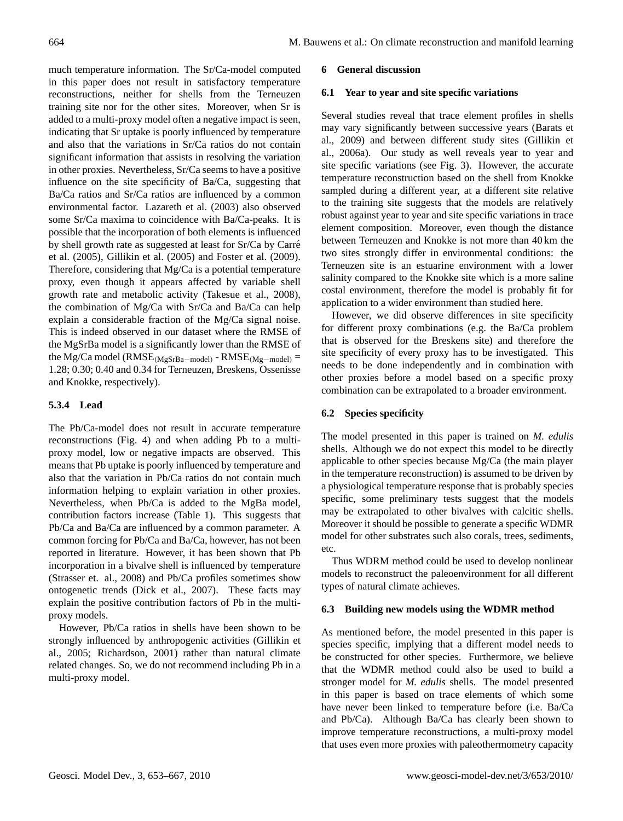much temperature information. The Sr/Ca-model computed in this paper does not result in satisfactory temperature reconstructions, neither for shells from the Terneuzen training site nor for the other sites. Moreover, when Sr is added to a multi-proxy model often a negative impact is seen, indicating that Sr uptake is poorly influenced by temperature and also that the variations in Sr/Ca ratios do not contain significant information that assists in resolving the variation in other proxies. Nevertheless, Sr/Ca seems to have a positive influence on the site specificity of Ba/Ca, suggesting that Ba/Ca ratios and Sr/Ca ratios are influenced by a common environmental factor. Lazareth et al. (2003) also observed some Sr/Ca maxima to coincidence with Ba/Ca-peaks. It is possible that the incorporation of both elements is influenced by shell growth rate as suggested at least for Sr/Ca by Carré et al. (2005), Gillikin et al. (2005) and Foster et al. (2009). Therefore, considering that Mg/Ca is a potential temperature proxy, even though it appears affected by variable shell growth rate and metabolic activity (Takesue et al., 2008), the combination of Mg/Ca with Sr/Ca and Ba/Ca can help explain a considerable fraction of the Mg/Ca signal noise. This is indeed observed in our dataset where the RMSE of the MgSrBa model is a significantly lower than the RMSE of the Mg/Ca model ( $RMSE_{(MgSrBa-model)}$  -  $RMSE_{(Mg-model)}$  = 1.28; 0.30; 0.40 and 0.34 for Terneuzen, Breskens, Ossenisse and Knokke, respectively).

# **5.3.4 Lead**

The Pb/Ca-model does not result in accurate temperature reconstructions (Fig. 4) and when adding Pb to a multiproxy model, low or negative impacts are observed. This means that Pb uptake is poorly influenced by temperature and also that the variation in Pb/Ca ratios do not contain much information helping to explain variation in other proxies. Nevertheless, when Pb/Ca is added to the MgBa model, contribution factors increase (Table 1). This suggests that Pb/Ca and Ba/Ca are influenced by a common parameter. A common forcing for Pb/Ca and Ba/Ca, however, has not been reported in literature. However, it has been shown that Pb incorporation in a bivalve shell is influenced by temperature (Strasser et. al., 2008) and Pb/Ca profiles sometimes show ontogenetic trends (Dick et al., 2007). These facts may explain the positive contribution factors of Pb in the multiproxy models.

However, Pb/Ca ratios in shells have been shown to be strongly influenced by anthropogenic activities (Gillikin et al., 2005; Richardson, 2001) rather than natural climate related changes. So, we do not recommend including Pb in a multi-proxy model.

## **6 General discussion**

## **6.1 Year to year and site specific variations**

Several studies reveal that trace element profiles in shells may vary significantly between successive years (Barats et al., 2009) and between different study sites (Gillikin et al., 2006a). Our study as well reveals year to year and site specific variations (see Fig. 3). However, the accurate temperature reconstruction based on the shell from Knokke sampled during a different year, at a different site relative to the training site suggests that the models are relatively robust against year to year and site specific variations in trace element composition. Moreover, even though the distance between Terneuzen and Knokke is not more than 40 km the two sites strongly differ in environmental conditions: the Terneuzen site is an estuarine environment with a lower salinity compared to the Knokke site which is a more saline costal environment, therefore the model is probably fit for application to a wider environment than studied here.

However, we did observe differences in site specificity for different proxy combinations (e.g. the Ba/Ca problem that is observed for the Breskens site) and therefore the site specificity of every proxy has to be investigated. This needs to be done independently and in combination with other proxies before a model based on a specific proxy combination can be extrapolated to a broader environment.

# **6.2 Species specificity**

The model presented in this paper is trained on *M. edulis* shells. Although we do not expect this model to be directly applicable to other species because Mg/Ca (the main player in the temperature reconstruction) is assumed to be driven by a physiological temperature response that is probably species specific, some preliminary tests suggest that the models may be extrapolated to other bivalves with calcitic shells. Moreover it should be possible to generate a specific WDMR model for other substrates such also corals, trees, sediments, etc.

Thus WDRM method could be used to develop nonlinear models to reconstruct the paleoenvironment for all different types of natural climate achieves.

## **6.3 Building new models using the WDMR method**

As mentioned before, the model presented in this paper is species specific, implying that a different model needs to be constructed for other species. Furthermore, we believe that the WDMR method could also be used to build a stronger model for *M. edulis* shells. The model presented in this paper is based on trace elements of which some have never been linked to temperature before (i.e. Ba/Ca and Pb/Ca). Although Ba/Ca has clearly been shown to improve temperature reconstructions, a multi-proxy model that uses even more proxies with paleothermometry capacity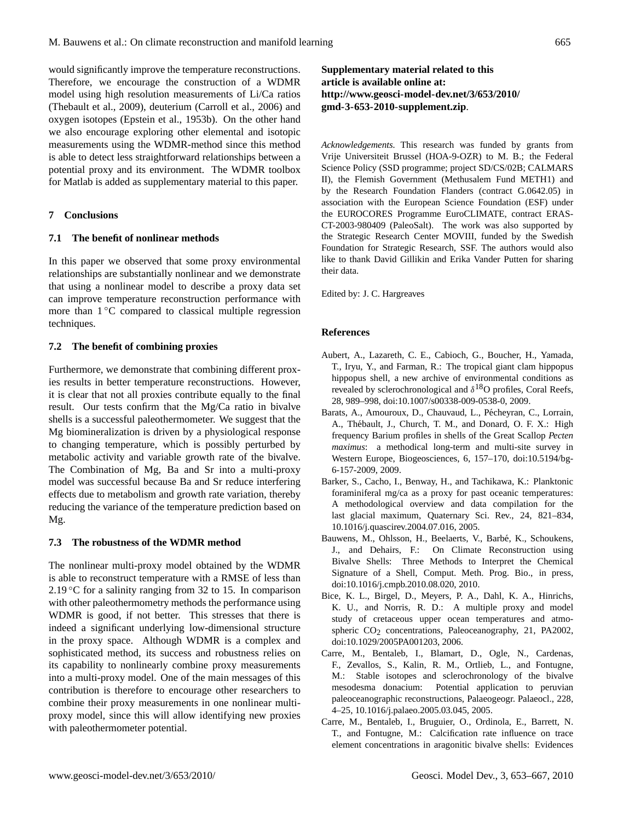would significantly improve the temperature reconstructions. Therefore, we encourage the construction of a WDMR model using high resolution measurements of Li/Ca ratios (Thebault et al., 2009), deuterium (Carroll et al., 2006) and oxygen isotopes (Epstein et al., 1953b). On the other hand we also encourage exploring other elemental and isotopic measurements using the WDMR-method since this method is able to detect less straightforward relationships between a potential proxy and its environment. The WDMR toolbox for Matlab is added as supplementary material to this paper.

# **7 Conclusions**

## **7.1 The benefit of nonlinear methods**

In this paper we observed that some proxy environmental relationships are substantially nonlinear and we demonstrate that using a nonlinear model to describe a proxy data set can improve temperature reconstruction performance with more than 1 ◦C compared to classical multiple regression techniques.

# **7.2 The benefit of combining proxies**

Furthermore, we demonstrate that combining different proxies results in better temperature reconstructions. However, it is clear that not all proxies contribute equally to the final result. Our tests confirm that the Mg/Ca ratio in bivalve shells is a successful paleothermometer. We suggest that the Mg biomineralization is driven by a physiological response to changing temperature, which is possibly perturbed by metabolic activity and variable growth rate of the bivalve. The Combination of Mg, Ba and Sr into a multi-proxy model was successful because Ba and Sr reduce interfering effects due to metabolism and growth rate variation, thereby reducing the variance of the temperature prediction based on Mg.

# **7.3 The robustness of the WDMR method**

The nonlinear multi-proxy model obtained by the WDMR is able to reconstruct temperature with a RMSE of less than 2.19  $\rm ^{\circ}C$  for a salinity ranging from 32 to 15. In comparison with other paleothermometry methods the performance using WDMR is good, if not better. This stresses that there is indeed a significant underlying low-dimensional structure in the proxy space. Although WDMR is a complex and sophisticated method, its success and robustness relies on its capability to nonlinearly combine proxy measurements into a multi-proxy model. One of the main messages of this contribution is therefore to encourage other researchers to combine their proxy measurements in one nonlinear multiproxy model, since this will allow identifying new proxies with paleothermometer potential.

# **Supplementary material related to this article is available online at: [http://www.geosci-model-dev.net/3/653/2010/](http://www.geosci-model-dev.net/3/653/2010/gmd-3-653-2010-supplement.zip) [gmd-3-653-2010-supplement.zip](http://www.geosci-model-dev.net/3/653/2010/gmd-3-653-2010-supplement.zip)**.

*Acknowledgements.* This research was funded by grants from Vrije Universiteit Brussel (HOA-9-OZR) to M. B.; the Federal Science Policy (SSD programme; project SD/CS/02B; CALMARS II), the Flemish Government (Methusalem Fund METH1) and by the Research Foundation Flanders (contract G.0642.05) in association with the European Science Foundation (ESF) under the EUROCORES Programme EuroCLIMATE, contract ERAS-CT-2003-980409 (PaleoSalt). The work was also supported by the Strategic Research Center MOVIII, funded by the Swedish Foundation for Strategic Research, SSF. The authors would also like to thank David Gillikin and Erika Vander Putten for sharing their data.

Edited by: J. C. Hargreaves

## **References**

- Aubert, A., Lazareth, C. E., Cabioch, G., Boucher, H., Yamada, T., Iryu, Y., and Farman, R.: The tropical giant clam hippopus hippopus shell, a new archive of environmental conditions as revealed by sclerochronological and  $\delta^{18}$ O profiles, Coral Reefs, 28, 989–998, doi:10.1007/s00338-009-0538-0, 2009.
- Barats, A., Amouroux, D., Chauvaud, L., Pécheyran, C., Lorrain, A., Thébault, J., Church, T. M., and Donard, O. F. X.: High frequency Barium profiles in shells of the Great Scallop *Pecten maximus*: a methodical long-term and multi-site survey in Western Europe, Biogeosciences, 6, 157–170, doi:10.5194/bg-6-157-2009, 2009.
- Barker, S., Cacho, I., Benway, H., and Tachikawa, K.: Planktonic foraminiferal mg/ca as a proxy for past oceanic temperatures: A methodological overview and data compilation for the last glacial maximum, Quaternary Sci. Rev., 24, 821–834, 10.1016/j.quascirev.2004.07.016, 2005.
- Bauwens, M., Ohlsson, H., Beelaerts, V., Barbé, K., Schoukens, J., and Dehairs, F.: On Climate Reconstruction using Bivalve Shells: Three Methods to Interpret the Chemical Signature of a Shell, Comput. Meth. Prog. Bio., in press, doi:10.1016/j.cmpb.2010.08.020, 2010.
- Bice, K. L., Birgel, D., Meyers, P. A., Dahl, K. A., Hinrichs, K. U., and Norris, R. D.: A multiple proxy and model study of cretaceous upper ocean temperatures and atmospheric CO<sub>2</sub> concentrations, Paleoceanography, 21, PA2002, doi:10.1029/2005PA001203, 2006.
- Carre, M., Bentaleb, I., Blamart, D., Ogle, N., Cardenas, F., Zevallos, S., Kalin, R. M., Ortlieb, L., and Fontugne, M.: Stable isotopes and sclerochronology of the bivalve mesodesma donacium: Potential application to peruvian paleoceanographic reconstructions, Palaeogeogr. Palaeocl., 228, 4–25, 10.1016/j.palaeo.2005.03.045, 2005.
- Carre, M., Bentaleb, I., Bruguier, O., Ordinola, E., Barrett, N. T., and Fontugne, M.: Calcification rate influence on trace element concentrations in aragonitic bivalve shells: Evidences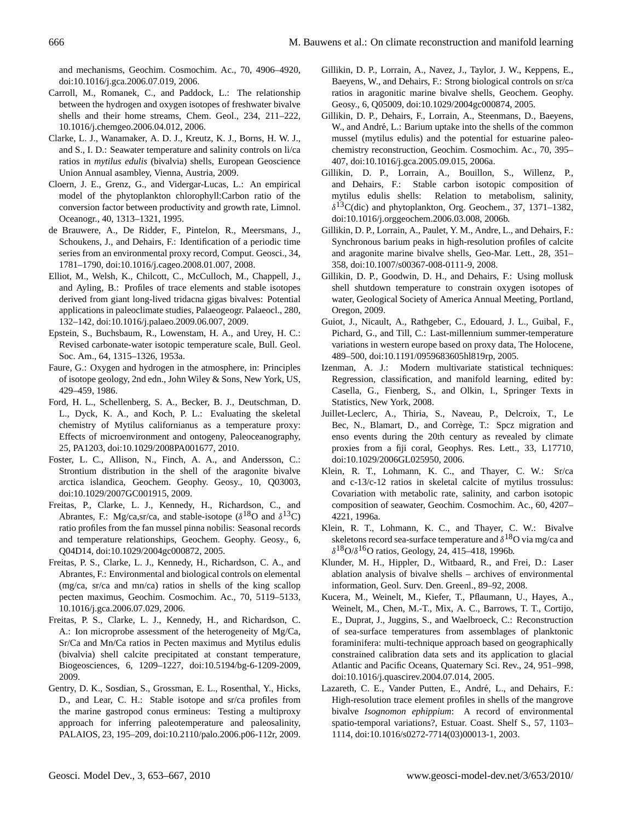and mechanisms, Geochim. Cosmochim. Ac., 70, 4906–4920, doi:10.1016/j.gca.2006.07.019, 2006.

- Carroll, M., Romanek, C., and Paddock, L.: The relationship between the hydrogen and oxygen isotopes of freshwater bivalve shells and their home streams, Chem. Geol., 234, 211–222, 10.1016/j.chemgeo.2006.04.012, 2006.
- Clarke, L. J., Wanamaker, A. D. J., Kreutz, K. J., Borns, H. W. J., and S., I. D.: Seawater temperature and salinity controls on li/ca ratios in *mytilus edulis* (bivalvia) shells, European Geoscience Union Annual asambley, Vienna, Austria, 2009.
- Cloern, J. E., Grenz, G., and Vidergar-Lucas, L.: An empirical model of the phytoplankton chlorophyll:Carbon ratio of the conversion factor between productivity and growth rate, Limnol. Oceanogr., 40, 1313–1321, 1995.
- de Brauwere, A., De Ridder, F., Pintelon, R., Meersmans, J., Schoukens, J., and Dehairs, F.: Identification of a periodic time series from an environmental proxy record, Comput. Geosci., 34, 1781–1790, doi:10.1016/j.cageo.2008.01.007, 2008.
- Elliot, M., Welsh, K., Chilcott, C., McCulloch, M., Chappell, J., and Ayling, B.: Profiles of trace elements and stable isotopes derived from giant long-lived tridacna gigas bivalves: Potential applications in paleoclimate studies, Palaeogeogr. Palaeocl., 280, 132–142, doi:10.1016/j.palaeo.2009.06.007, 2009.
- Epstein, S., Buchsbaum, R., Lowenstam, H. A., and Urey, H. C.: Revised carbonate-water isotopic temperature scale, Bull. Geol. Soc. Am., 64, 1315–1326, 1953a.
- Faure, G.: Oxygen and hydrogen in the atmosphere, in: Principles of isotope geology, 2nd edn., John Wiley & Sons, New York, US, 429–459, 1986.
- Ford, H. L., Schellenberg, S. A., Becker, B. J., Deutschman, D. L., Dyck, K. A., and Koch, P. L.: Evaluating the skeletal chemistry of Mytilus californianus as a temperature proxy: Effects of microenvironment and ontogeny, Paleoceanography, 25, PA1203, doi:10.1029/2008PA001677, 2010.
- Foster, L. C., Allison, N., Finch, A. A., and Andersson, C.: Strontium distribution in the shell of the aragonite bivalve arctica islandica, Geochem. Geophy. Geosy., 10, Q03003, doi:10.1029/2007GC001915, 2009.
- Freitas, P., Clarke, L. J., Kennedy, H., Richardson, C., and Abrantes, F.: Mg/ca,sr/ca, and stable-isotope ( $\delta^{18}$ O and  $\delta^{13}$ C) ratio profiles from the fan mussel pinna nobilis: Seasonal records and temperature relationships, Geochem. Geophy. Geosy., 6, Q04D14, doi:10.1029/2004gc000872, 2005.
- Freitas, P. S., Clarke, L. J., Kennedy, H., Richardson, C. A., and Abrantes, F.: Environmental and biological controls on elemental (mg/ca, sr/ca and mn/ca) ratios in shells of the king scallop pecten maximus, Geochim. Cosmochim. Ac., 70, 5119–5133, 10.1016/j.gca.2006.07.029, 2006.
- Freitas, P. S., Clarke, L. J., Kennedy, H., and Richardson, C. A.: Ion microprobe assessment of the heterogeneity of Mg/Ca, Sr/Ca and Mn/Ca ratios in Pecten maximus and Mytilus edulis (bivalvia) shell calcite precipitated at constant temperature, Biogeosciences, 6, 1209–1227, doi:10.5194/bg-6-1209-2009, 2009.
- Gentry, D. K., Sosdian, S., Grossman, E. L., Rosenthal, Y., Hicks, D., and Lear, C. H.: Stable isotope and sr/ca profiles from the marine gastropod conus ermineus: Testing a multiproxy approach for inferring paleotemperature and paleosalinity, PALAIOS, 23, 195–209, doi:10.2110/palo.2006.p06-112r, 2009.
- Gillikin, D. P., Lorrain, A., Navez, J., Taylor, J. W., Keppens, E., Baeyens, W., and Dehairs, F.: Strong biological controls on sr/ca ratios in aragonitic marine bivalve shells, Geochem. Geophy. Geosy., 6, Q05009, doi:10.1029/2004gc000874, 2005.
- Gillikin, D. P., Dehairs, F., Lorrain, A., Steenmans, D., Baeyens, W., and André, L.: Barium uptake into the shells of the common mussel (mytilus edulis) and the potential for estuarine paleochemistry reconstruction, Geochim. Cosmochim. Ac., 70, 395– 407, doi:10.1016/j.gca.2005.09.015, 2006a.
- Gillikin, D. P., Lorrain, A., Bouillon, S., Willenz, P., and Dehairs, F.: Stable carbon isotopic composition of mytilus edulis shells: Relation to metabolism, salinity,  $\delta^{13}$ C(dic) and phytoplankton, Org. Geochem., 37, 1371–1382, doi:10.1016/j.orggeochem.2006.03.008, 2006b.
- Gillikin, D. P., Lorrain, A., Paulet, Y. M., Andre, L., and Dehairs, F.: Synchronous barium peaks in high-resolution profiles of calcite and aragonite marine bivalve shells, Geo-Mar. Lett., 28, 351– 358, doi:10.1007/s00367-008-0111-9, 2008.
- Gillikin, D. P., Goodwin, D. H., and Dehairs, F.: Using mollusk shell shutdown temperature to constrain oxygen isotopes of water, Geological Society of America Annual Meeting, Portland, Oregon, 2009.
- Guiot, J., Nicault, A., Rathgeber, C., Edouard, J. L., Guibal, F., Pichard, G., and Till, C.: Last-millennium summer-temperature variations in western europe based on proxy data, The Holocene, 489–500, doi:10.1191/0959683605hl819rp, 2005.
- Izenman, A. J.: Modern multivariate statistical techniques: Regression, classification, and manifold learning, edited by: Casella, G., Fienberg, S., and Olkin, I., Springer Texts in Statistics, New York, 2008.
- Juillet-Leclerc, A., Thiria, S., Naveau, P., Delcroix, T., Le Bec, N., Blamart, D., and Corrège, T.: Spcz migration and enso events during the 20th century as revealed by climate proxies from a fiji coral, Geophys. Res. Lett., 33, L17710, doi:10.1029/2006GL025950, 2006.
- Klein, R. T., Lohmann, K. C., and Thayer, C. W.: Sr/ca and c-13/c-12 ratios in skeletal calcite of mytilus trossulus: Covariation with metabolic rate, salinity, and carbon isotopic composition of seawater, Geochim. Cosmochim. Ac., 60, 4207– 4221, 1996a.
- Klein, R. T., Lohmann, K. C., and Thayer, C. W.: Bivalve skeletons record sea-surface temperature and  $\delta^{18}O$  via mg/ca and  $\delta^{18}O/\delta^{16}O$  ratios, Geology, 24, 415–418, 1996b.
- Klunder, M. H., Hippler, D., Witbaard, R., and Frei, D.: Laser ablation analysis of bivalve shells – archives of environmental information, Geol. Surv. Den. Greenl., 89–92, 2008.
- Kucera, M., Weinelt, M., Kiefer, T., Pflaumann, U., Hayes, A., Weinelt, M., Chen, M.-T., Mix, A. C., Barrows, T. T., Cortijo, E., Duprat, J., Juggins, S., and Waelbroeck, C.: Reconstruction of sea-surface temperatures from assemblages of planktonic foraminifera: multi-technique approach based on geographically constrained calibration data sets and its application to glacial Atlantic and Pacific Oceans, Quaternary Sci. Rev., 24, 951–998, doi:10.1016/j.quascirev.2004.07.014, 2005.
- Lazareth, C. E., Vander Putten, E., André, L., and Dehairs, F.: High-resolution trace element profiles in shells of the mangrove bivalve *Isognomon ephippium*: A record of environmental spatio-temporal variations?, Estuar. Coast. Shelf S., 57, 1103– 1114, doi:10.1016/s0272-7714(03)00013-1, 2003.